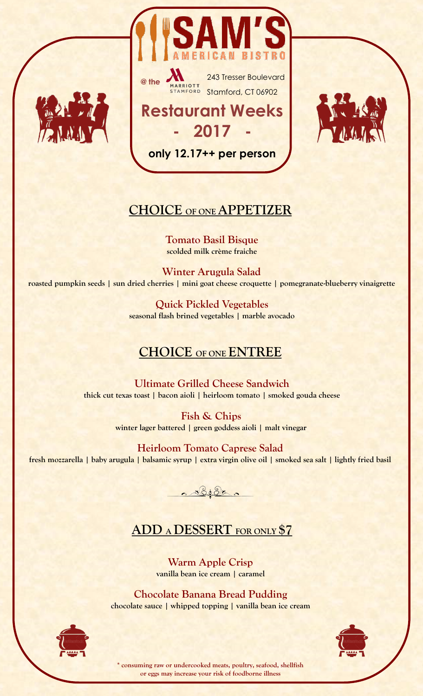





#### **CHOICE OF ONE APPETIZER**

**only 12.17++ per person**

**Tomato Basil Bisque scolded milk crème fraiche**

**Winter Arugula Salad roasted pumpkin seeds | sun dried cherries | mini goat cheese croquette | pomegranate-blueberry vinaigrette**

> **Quick Pickled Vegetables seasonal flash brined vegetables | marble avocado**

### **CHOICE OF ONE ENTREE**

**Ultimate Grilled Cheese Sandwich thick cut texas toast | bacon aioli | heirloom tomato | smoked gouda cheese** 

> **Fish & Chips winter lager battered | green goddess aioli | malt vinegar**

**Heirloom Tomato Caprese Salad fresh mozzarella | baby arugula | balsamic syrup | extra virgin olive oil | smoked sea salt | lightly fried basil**



### **ADD A DESSERT FOR ONLY \$7**

**Warm Apple Crisp vanilla bean ice cream | caramel** 

**Chocolate Banana Bread Pudding chocolate sauce | whipped topping | vanilla bean ice cream**





**\* consuming raw or undercooked meats, poultry, seafood, shellfish or eggs may increase your risk of foodborne illness**